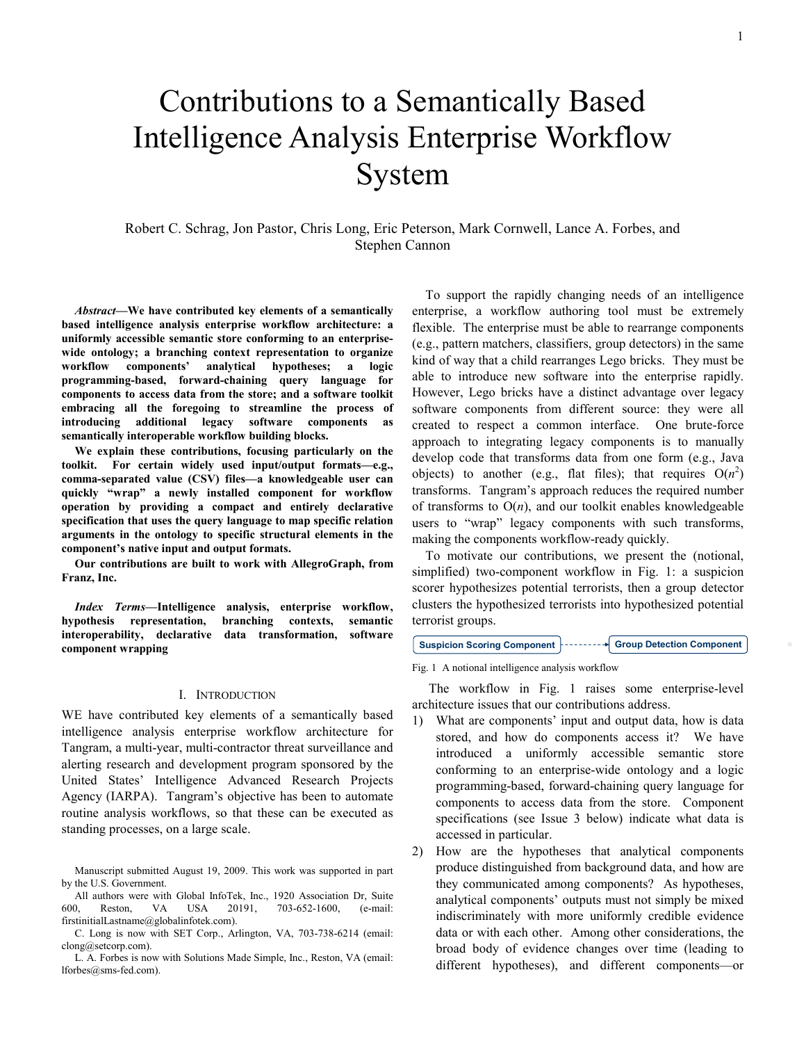# Contributions to a Semantically Based Intelligence Analysis Enterprise Workflow System

Robert C. Schrag, Jon Pastor, Chris Long, Eric Peterson, Mark Cornwell, Lance A. Forbes, and Stephen Cannon

Abstract—We have contributed key elements of a semantically based intelligence analysis enterprise workflow architecture: a uniformly accessible semantic store conforming to an enterprisewide ontology; a branching context representation to organize workflow components' analytical hypotheses; a logic programming-based, forward-chaining query language for components to access data from the store; and a software toolkit embracing all the foregoing to streamline the process of introducing additional legacy software components as semantically interoperable workflow building blocks.

We explain these contributions, focusing particularly on the toolkit. For certain widely used input/output formats—e.g., comma-separated value (CSV) files—a knowledgeable user can quickly "wrap" a newly installed component for workflow operation by providing a compact and entirely declarative specification that uses the query language to map specific relation arguments in the ontology to specific structural elements in the component's native input and output formats.

Our contributions are built to work with AllegroGraph, from Franz, Inc.

Index Terms—Intelligence analysis, enterprise workflow, hypothesis representation, branching contexts, semantic interoperability, declarative data transformation, software component wrapping

### I. INTRODUCTION

WE have contributed key elements of a semantically based intelligence analysis enterprise workflow architecture for Tangram, a multi-year, multi-contractor threat surveillance and alerting research and development program sponsored by the United States' Intelligence Advanced Research Projects Agency (IARPA). Tangram's objective has been to automate routine analysis workflows, so that these can be executed as standing processes, on a large scale.

All authors were with Global InfoTek, Inc., 1920 Association Dr, Suite 600, Reston, VA USA 20191, 703-652-1600, (e-mail: firstinitialLastname@globalinfotek.com).

C. Long is now with SET Corp., Arlington, VA, 703-738-6214 (email: clong@setcorp.com).

L. A. Forbes is now with Solutions Made Simple, Inc., Reston, VA (email: lforbes@sms-fed.com).

To support the rapidly changing needs of an intelligence enterprise, a workflow authoring tool must be extremely flexible. The enterprise must be able to rearrange components (e.g., pattern matchers, classifiers, group detectors) in the same kind of way that a child rearranges Lego bricks. They must be able to introduce new software into the enterprise rapidly. However, Lego bricks have a distinct advantage over legacy software components from different source: they were all created to respect a common interface. One brute-force approach to integrating legacy components is to manually develop code that transforms data from one form (e.g., Java objects) to another (e.g., flat files); that requires  $O(n^2)$ transforms. Tangram's approach reduces the required number of transforms to  $O(n)$ , and our toolkit enables knowledgeable users to "wrap" legacy components with such transforms, making the components workflow-ready quickly.

To motivate our contributions, we present the (notional, simplified) two-component workflow in Fig. 1: a suspicion scorer hypothesizes potential terrorists, then a group detector clusters the hypothesized terrorists into hypothesized potential terrorist groups.

## Suspicion Scoring Component  $\vert$ --------- $\vert$  Group Detection Component

Fig. 1 A notional intelligence analysis workflow

 The workflow in Fig. 1 raises some enterprise-level architecture issues that our contributions address.

- 1) What are components' input and output data, how is data stored, and how do components access it? We have introduced a uniformly accessible semantic store conforming to an enterprise-wide ontology and a logic programming-based, forward-chaining query language for components to access data from the store. Component specifications (see Issue 3 below) indicate what data is accessed in particular.
- 2) How are the hypotheses that analytical components produce distinguished from background data, and how are they communicated among components? As hypotheses, analytical components' outputs must not simply be mixed indiscriminately with more uniformly credible evidence data or with each other. Among other considerations, the broad body of evidence changes over time (leading to different hypotheses), and different components—or

Manuscript submitted August 19, 2009. This work was supported in part by the U.S. Government.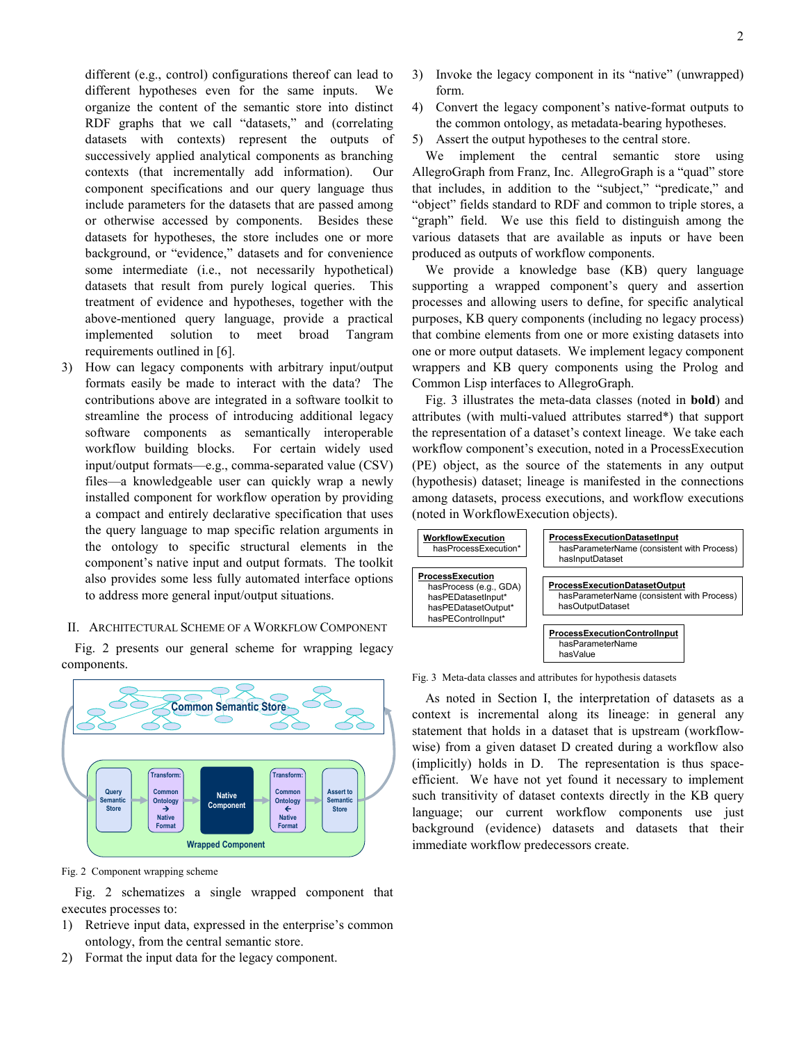different (e.g., control) configurations thereof can lead to different hypotheses even for the same inputs. We organize the content of the semantic store into distinct RDF graphs that we call "datasets," and (correlating datasets with contexts) represent the outputs of successively applied analytical components as branching contexts (that incrementally add information). Our component specifications and our query language thus include parameters for the datasets that are passed among or otherwise accessed by components. Besides these datasets for hypotheses, the store includes one or more background, or "evidence," datasets and for convenience some intermediate (i.e., not necessarily hypothetical) datasets that result from purely logical queries. This treatment of evidence and hypotheses, together with the above-mentioned query language, provide a practical implemented solution to meet broad Tangram requirements outlined in [6].

3) How can legacy components with arbitrary input/output formats easily be made to interact with the data? The contributions above are integrated in a software toolkit to streamline the process of introducing additional legacy software components as semantically interoperable workflow building blocks. For certain widely used input/output formats—e.g., comma-separated value (CSV) files—a knowledgeable user can quickly wrap a newly installed component for workflow operation by providing a compact and entirely declarative specification that uses the query language to map specific relation arguments in the ontology to specific structural elements in the component's native input and output formats. The toolkit also provides some less fully automated interface options to address more general input/output situations.

## II. ARCHITECTURAL SCHEME OF A WORKFLOW COMPONENT

Fig. 2 presents our general scheme for wrapping legacy components.



Fig. 2 Component wrapping scheme

Fig. 2 schematizes a single wrapped component that executes processes to:

- 1) Retrieve input data, expressed in the enterprise's common ontology, from the central semantic store.
- 2) Format the input data for the legacy component.
- 3) Invoke the legacy component in its "native" (unwrapped) form.
- 4) Convert the legacy component's native-format outputs to the common ontology, as metadata-bearing hypotheses.
- 5) Assert the output hypotheses to the central store.

We implement the central semantic store using AllegroGraph from Franz, Inc. AllegroGraph is a "quad" store that includes, in addition to the "subject," "predicate," and "object" fields standard to RDF and common to triple stores, a "graph" field. We use this field to distinguish among the various datasets that are available as inputs or have been produced as outputs of workflow components.

We provide a knowledge base (KB) query language supporting a wrapped component's query and assertion processes and allowing users to define, for specific analytical purposes, KB query components (including no legacy process) that combine elements from one or more existing datasets into one or more output datasets. We implement legacy component wrappers and KB query components using the Prolog and Common Lisp interfaces to AllegroGraph.

Fig. 3 illustrates the meta-data classes (noted in bold) and attributes (with multi-valued attributes starred\*) that support the representation of a dataset's context lineage. We take each workflow component's execution, noted in a ProcessExecution (PE) object, as the source of the statements in any output (hypothesis) dataset; lineage is manifested in the connections among datasets, process executions, and workflow executions (noted in WorkflowExecution objects).



#### Fig. 3 Meta-data classes and attributes for hypothesis datasets

As noted in Section I, the interpretation of datasets as a context is incremental along its lineage: in general any statement that holds in a dataset that is upstream (workflowwise) from a given dataset D created during a workflow also (implicitly) holds in D. The representation is thus spaceefficient. We have not yet found it necessary to implement such transitivity of dataset contexts directly in the KB query language; our current workflow components use just background (evidence) datasets and datasets that their immediate workflow predecessors create.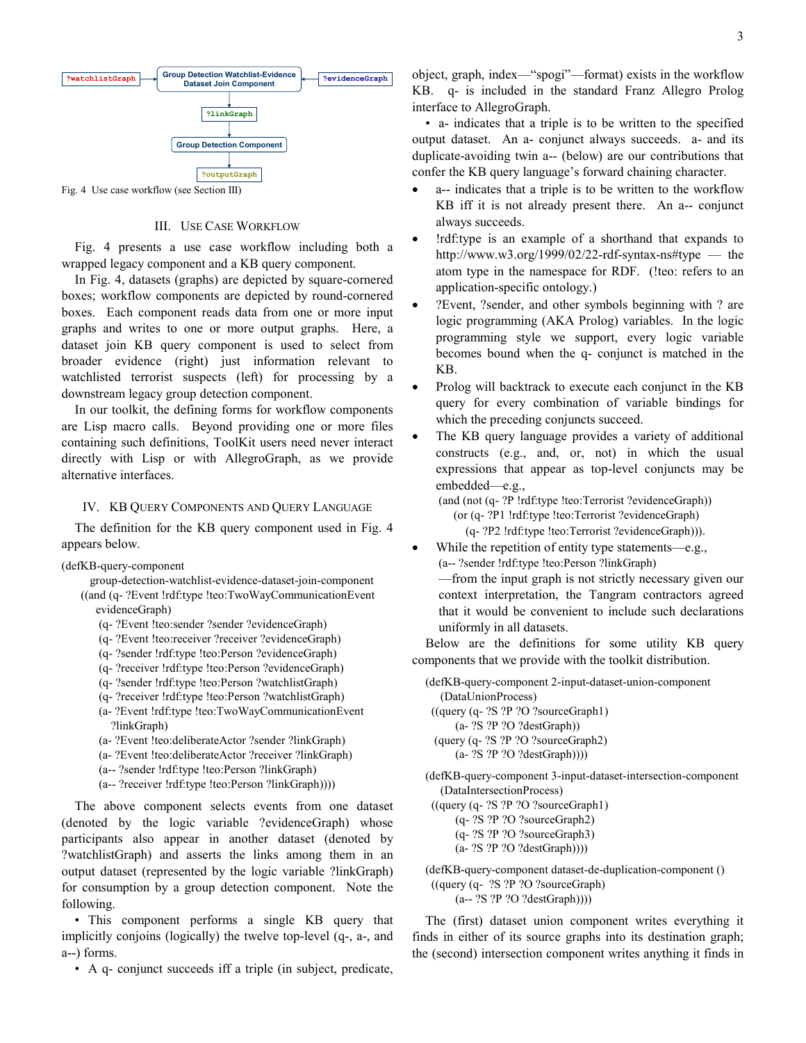

Fig. 4 Use case workflow (see Section III)

#### III. USE CASE WORKFLOW

Fig. 4 presents a use case workflow including both a wrapped legacy component and a KB query component.

In Fig. 4, datasets (graphs) are depicted by square-cornered boxes; workflow components are depicted by round-cornered boxes. Each component reads data from one or more input graphs and writes to one or more output graphs. Here, a dataset join KB query component is used to select from broader evidence (right) just information relevant to watchlisted terrorist suspects (left) for processing by a downstream legacy group detection component.

In our toolkit, the defining forms for workflow components are Lisp macro calls. Beyond providing one or more files containing such definitions, ToolKit users need never interact directly with Lisp or with AllegroGraph, as we provide alternative interfaces.

## IV. KB QUERY COMPONENTS AND QUERY LANGUAGE

The definition for the KB query component used in Fig. 4 appears below.

(defKB-query-component

 group-detection-watchlist-evidence-dataset-join-component ((and (q- ?Event !rdf:type !teo:TwoWayCommunicationEvent evidenceGraph)

- (q- ?Event !teo:sender ?sender ?evidenceGraph)
- (q- ?Event !teo:receiver ?receiver ?evidenceGraph)
- (q- ?sender !rdf:type !teo:Person ?evidenceGraph)
- (q- ?receiver !rdf:type !teo:Person ?evidenceGraph)
- (q- ?sender !rdf:type !teo:Person ?watchlistGraph)
- (q- ?receiver !rdf:type !teo:Person ?watchlistGraph)
- (a- ?Event !rdf:type !teo:TwoWayCommunicationEvent ?linkGraph)
- (a- ?Event !teo:deliberateActor ?sender ?linkGraph)
- (a- ?Event !teo:deliberateActor ?receiver ?linkGraph)
- (a-- ?sender !rdf:type !teo:Person ?linkGraph)
- (a-- ?receiver !rdf:type !teo:Person ?linkGraph))))

The above component selects events from one dataset (denoted by the logic variable ?evidenceGraph) whose participants also appear in another dataset (denoted by ?watchlistGraph) and asserts the links among them in an output dataset (represented by the logic variable ?linkGraph) for consumption by a group detection component. Note the following.

• This component performs a single KB query that implicitly conjoins (logically) the twelve top-level (q-, a-, and a--) forms.

• A q- conjunct succeeds iff a triple (in subject, predicate,

object, graph, index—"spogi"—format) exists in the workflow KB. q- is included in the standard Franz Allegro Prolog interface to AllegroGraph.

• a- indicates that a triple is to be written to the specified output dataset. An a- conjunct always succeeds. a- and its duplicate-avoiding twin a-- (below) are our contributions that confer the KB query language's forward chaining character.

- a-- indicates that a triple is to be written to the workflow KB iff it is not already present there. An a-- conjunct always succeeds.
- !rdf:type is an example of a shorthand that expands to http://www.w3.org/1999/02/22-rdf-syntax-ns#type — the atom type in the namespace for RDF. (!teo: refers to an application-specific ontology.)
- ?Event, ?sender, and other symbols beginning with ? are logic programming (AKA Prolog) variables. In the logic programming style we support, every logic variable becomes bound when the q- conjunct is matched in the KB.
- Prolog will backtrack to execute each conjunct in the KB query for every combination of variable bindings for which the preceding conjuncts succeed.
- The KB query language provides a variety of additional constructs (e.g., and, or, not) in which the usual expressions that appear as top-level conjuncts may be embedded—e.g.,

(and (not (q- ?P !rdf:type !teo:Terrorist ?evidenceGraph)) (or (q- ?P1 !rdf:type !teo:Terrorist ?evidenceGraph) (q- ?P2 !rdf:type !teo:Terrorist ?evidenceGraph))).

- While the repetition of entity type statements—e.g., (a-- ?sender !rdf:type !teo:Person ?linkGraph) —from the input graph is not strictly necessary given our context interpretation, the Tangram contractors agreed
	- that it would be convenient to include such declarations uniformly in all datasets.

Below are the definitions for some utility KB query components that we provide with the toolkit distribution.

(defKB-query-component 2-input-dataset-union-component (DataUnionProcess) ((query (q- ?S ?P ?O ?sourceGraph1) (a- ?S ?P ?O ?destGraph)) (query (q- ?S ?P ?O ?sourceGraph2) (a- ?S ?P ?O ?destGraph))))

(defKB-query-component 3-input-dataset-intersection-component (DataIntersectionProcess)

 ((query (q- ?S ?P ?O ?sourceGraph1) (q- ?S ?P ?O ?sourceGraph2) (q- ?S ?P ?O ?sourceGraph3)

- (a- ?S ?P ?O ?destGraph))))
- (defKB-query-component dataset-de-duplication-component () ((query (q- ?S ?P ?O ?sourceGraph) (a-- ?S ?P ?O ?destGraph))))

The (first) dataset union component writes everything it finds in either of its source graphs into its destination graph; the (second) intersection component writes anything it finds in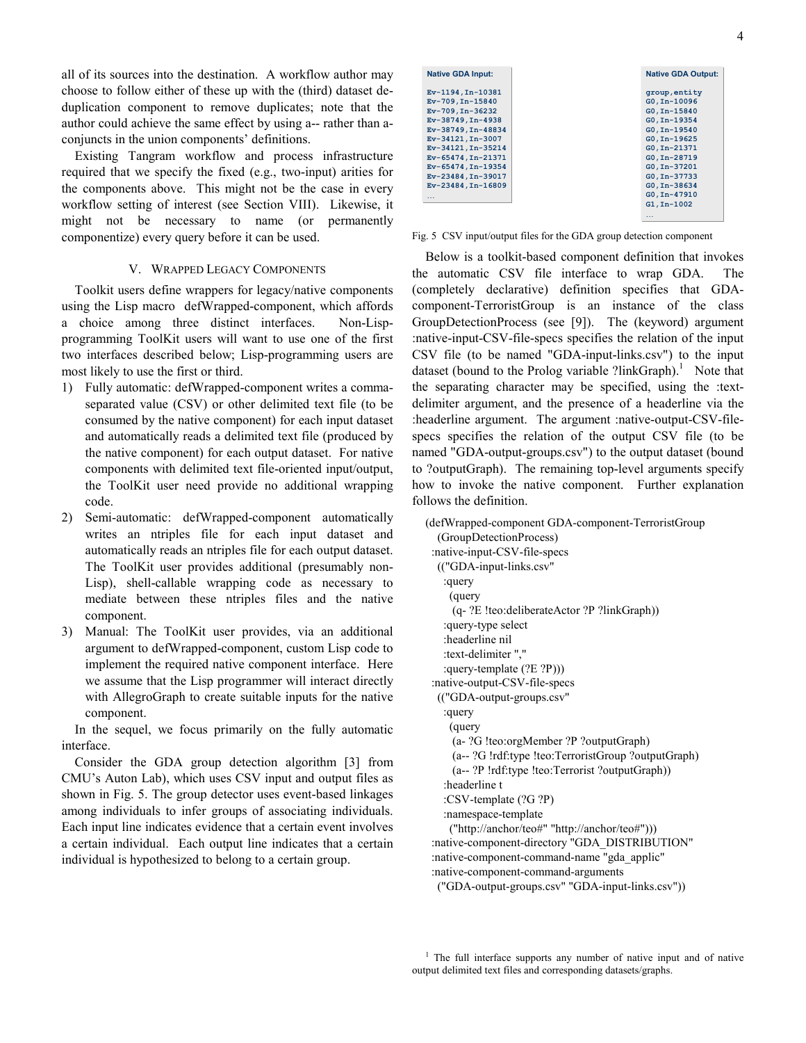all of its sources into the destination. A workflow author may choose to follow either of these up with the (third) dataset deduplication component to remove duplicates; note that the author could achieve the same effect by using a-- rather than aconjuncts in the union components' definitions.

Existing Tangram workflow and process infrastructure required that we specify the fixed (e.g., two-input) arities for the components above. This might not be the case in every workflow setting of interest (see Section VIII). Likewise, it might not be necessary to name (or permanently componentize) every query before it can be used.

## V. WRAPPED LEGACY COMPONENTS

Toolkit users define wrappers for legacy/native components using the Lisp macro defWrapped-component, which affords a choice among three distinct interfaces. Non-Lispprogramming ToolKit users will want to use one of the first two interfaces described below; Lisp-programming users are most likely to use the first or third.

- 1) Fully automatic: defWrapped-component writes a commaseparated value (CSV) or other delimited text file (to be consumed by the native component) for each input dataset and automatically reads a delimited text file (produced by the native component) for each output dataset. For native components with delimited text file-oriented input/output, the ToolKit user need provide no additional wrapping code.
- 2) Semi-automatic: defWrapped-component automatically writes an ntriples file for each input dataset and automatically reads an ntriples file for each output dataset. The ToolKit user provides additional (presumably non-Lisp), shell-callable wrapping code as necessary to mediate between these ntriples files and the native component.
- 3) Manual: The ToolKit user provides, via an additional argument to defWrapped-component, custom Lisp code to implement the required native component interface. Here we assume that the Lisp programmer will interact directly with AllegroGraph to create suitable inputs for the native component.

In the sequel, we focus primarily on the fully automatic interface.

Consider the GDA group detection algorithm [3] from CMU's Auton Lab), which uses CSV input and output files as shown in Fig. 5. The group detector uses event-based linkages among individuals to infer groups of associating individuals. Each input line indicates evidence that a certain event involves a certain individual. Each output line indicates that a certain individual is hypothesized to belong to a certain group.

| <b>Native GDA Input:</b> | <b>Native GDA Output:</b> |                 |
|--------------------------|---------------------------|-----------------|
| Ev-1194, In-10381        |                           | group, entity   |
| $Ev-709, In-15840$       |                           | $G0, In-10096$  |
| $Ev-709, In-36232$       |                           | $G0, In-15840$  |
| Ev-38749, In-4938        |                           | $G0$ . In-19354 |
| Ev-38749, In-48834       |                           | GO, In-19540    |
| Ev-34121, In-3007        |                           | GO, In-19625    |
| Ev-34121, In-35214       |                           | GO, In-21371    |
| Ev-65474, In-21371       |                           | $G0$ . In-28719 |
| Ev-65474, In-19354       |                           | $G0.$ In-37201  |
| Ev-23484, In-39017       |                           | GO, In-37733    |
| $Ev-23484, In-16809$     |                           | GO, In-38634    |
| $\cdots$                 |                           | GO, In-47910    |
|                          |                           | $GI$ . In-1002  |

Fig. 5 CSV input/output files for the GDA group detection component

…

Below is a toolkit-based component definition that invokes the automatic CSV file interface to wrap GDA. The (completely declarative) definition specifies that GDAcomponent-TerroristGroup is an instance of the class GroupDetectionProcess (see [9]). The (keyword) argument :native-input-CSV-file-specs specifies the relation of the input CSV file (to be named "GDA-input-links.csv") to the input dataset (bound to the Prolog variable ?linkGraph).<sup>1</sup> Note that the separating character may be specified, using the :textdelimiter argument, and the presence of a headerline via the :headerline argument. The argument :native-output-CSV-filespecs specifies the relation of the output CSV file (to be named "GDA-output-groups.csv") to the output dataset (bound to ?outputGraph). The remaining top-level arguments specify how to invoke the native component. Further explanation follows the definition.

(defWrapped-component GDA-component-TerroristGroup (GroupDetectionProcess) :native-input-CSV-file-specs (("GDA-input-links.csv" :query (query (q- ?E !teo:deliberateActor ?P ?linkGraph)) :query-type select :headerline nil :text-delimiter "," :query-template (?E ?P))) :native-output-CSV-file-specs (("GDA-output-groups.csv" :query (query (a- ?G !teo:orgMember ?P ?outputGraph) (a-- ?G !rdf:type !teo:TerroristGroup ?outputGraph) (a-- ?P !rdf:type !teo:Terrorist ?outputGraph)) :headerline t :CSV-template (?G ?P) :namespace-template ("http://anchor/teo#" "http://anchor/teo#"))) :native-component-directory "GDA\_DISTRIBUTION" :native-component-command-name "gda\_applic" :native-component-command-arguments ("GDA-output-groups.csv" "GDA-input-links.csv"))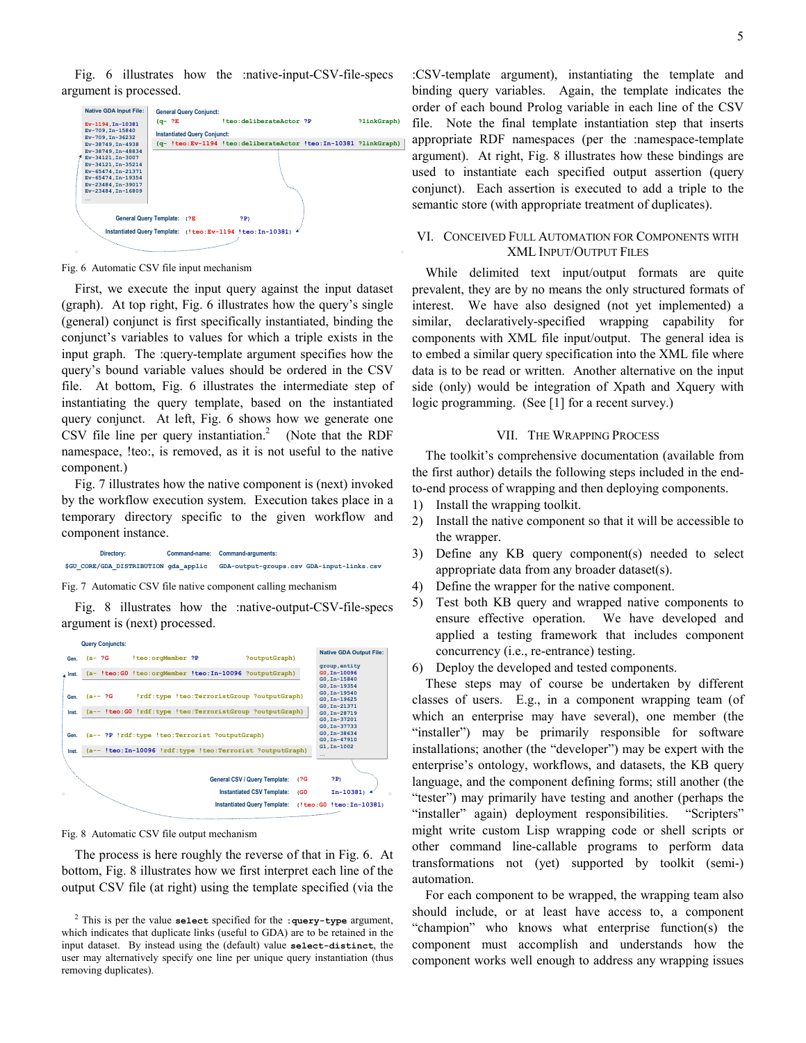Fig. 6 illustrates how the :native-input-CSV-file-specs argument is processed.

| Ev-1194, In-10381                                                                                                                                               | $(q-$ ?E                            |  | !teo:deliberateActor ?P                                         |  | ?linkGraph) |  |
|-----------------------------------------------------------------------------------------------------------------------------------------------------------------|-------------------------------------|--|-----------------------------------------------------------------|--|-------------|--|
| Ev-709, In-15840                                                                                                                                                | <b>Instantiated Query Conjunct:</b> |  |                                                                 |  |             |  |
| Ev-709.In-36232<br>Ev-38749, In-4938                                                                                                                            |                                     |  | (q- !teo:Ev-1194 !teo:deliberateActor !teo:In-10381 ?linkGraph) |  |             |  |
| Ev-38749.In-48834<br>Ev-34121, In-3007<br>Ev-34121, In-35214<br>Ev-65474.In-21371<br>Ev-65474, In-19354<br>Ev-23484, In-39017<br>Ev-23484, In-16809<br>$\cdots$ |                                     |  |                                                                 |  |             |  |
| General Query Template: (?E                                                                                                                                     |                                     |  | 2P<br>Instantiated Query Template: (!teo:Ev-1194 !teo:In-10381) |  |             |  |

Fig. 6 Automatic CSV file input mechanism

First, we execute the input query against the input dataset (graph). At top right, Fig. 6 illustrates how the query's single (general) conjunct is first specifically instantiated, binding the conjunct's variables to values for which a triple exists in the input graph. The :query-template argument specifies how the query's bound variable values should be ordered in the CSV file. At bottom, Fig. 6 illustrates the intermediate step of instantiating the query template, based on the instantiated query conjunct. At left, Fig. 6 shows how we generate one CSV file line per query instantiation.<sup>2</sup> (Note that the RDF namespace, !teo:, is removed, as it is not useful to the native component.)

Fig. 7 illustrates how the native component is (next) invoked by the workflow execution system. Execution takes place in a temporary directory specific to the given workflow and component instance.



Fig. 7 Automatic CSV file native component calling mechanism

Fig. 8 illustrates how the :native-output-CSV-file-specs argument is (next) processed.



Fig. 8 Automatic CSV file output mechanism

The process is here roughly the reverse of that in Fig. 6. At bottom, Fig. 8 illustrates how we first interpret each line of the output CSV file (at right) using the template specified (via the

:CSV-template argument), instantiating the template and binding query variables. Again, the template indicates the order of each bound Prolog variable in each line of the CSV file. Note the final template instantiation step that inserts appropriate RDF namespaces (per the :namespace-template argument). At right, Fig. 8 illustrates how these bindings are used to instantiate each specified output assertion (query conjunct). Each assertion is executed to add a triple to the semantic store (with appropriate treatment of duplicates).

## VI. CONCEIVED FULL AUTOMATION FOR COMPONENTS WITH XML INPUT/OUTPUT FILES

While delimited text input/output formats are quite prevalent, they are by no means the only structured formats of interest. We have also designed (not yet implemented) a similar, declaratively-specified wrapping capability for components with XML file input/output. The general idea is to embed a similar query specification into the XML file where data is to be read or written. Another alternative on the input side (only) would be integration of Xpath and Xquery with logic programming. (See [1] for a recent survey.)

## VII. THE WRAPPING PROCESS

The toolkit's comprehensive documentation (available from the first author) details the following steps included in the endto-end process of wrapping and then deploying components.

- 1) Install the wrapping toolkit.
- 2) Install the native component so that it will be accessible to the wrapper.
- 3) Define any KB query component(s) needed to select appropriate data from any broader dataset(s).
- 4) Define the wrapper for the native component.
- 5) Test both KB query and wrapped native components to ensure effective operation. We have developed and applied a testing framework that includes component concurrency (i.e., re-entrance) testing.
- 6) Deploy the developed and tested components.

These steps may of course be undertaken by different classes of users. E.g., in a component wrapping team (of which an enterprise may have several), one member (the "installer") may be primarily responsible for software installations; another (the "developer") may be expert with the enterprise's ontology, workflows, and datasets, the KB query language, and the component defining forms; still another (the "tester") may primarily have testing and another (perhaps the "installer" again) deployment responsibilities. "Scripters" might write custom Lisp wrapping code or shell scripts or other command line-callable programs to perform data transformations not (yet) supported by toolkit (semi-) automation.

For each component to be wrapped, the wrapping team also should include, or at least have access to, a component "champion" who knows what enterprise function(s) the component must accomplish and understands how the component works well enough to address any wrapping issues

<sup>&</sup>lt;sup>2</sup> This is per the value select specified for the : query-type argument, which indicates that duplicate links (useful to GDA) are to be retained in the input dataset. By instead using the (default) value select-distinct, the user may alternatively specify one line per unique query instantiation (thus removing duplicates).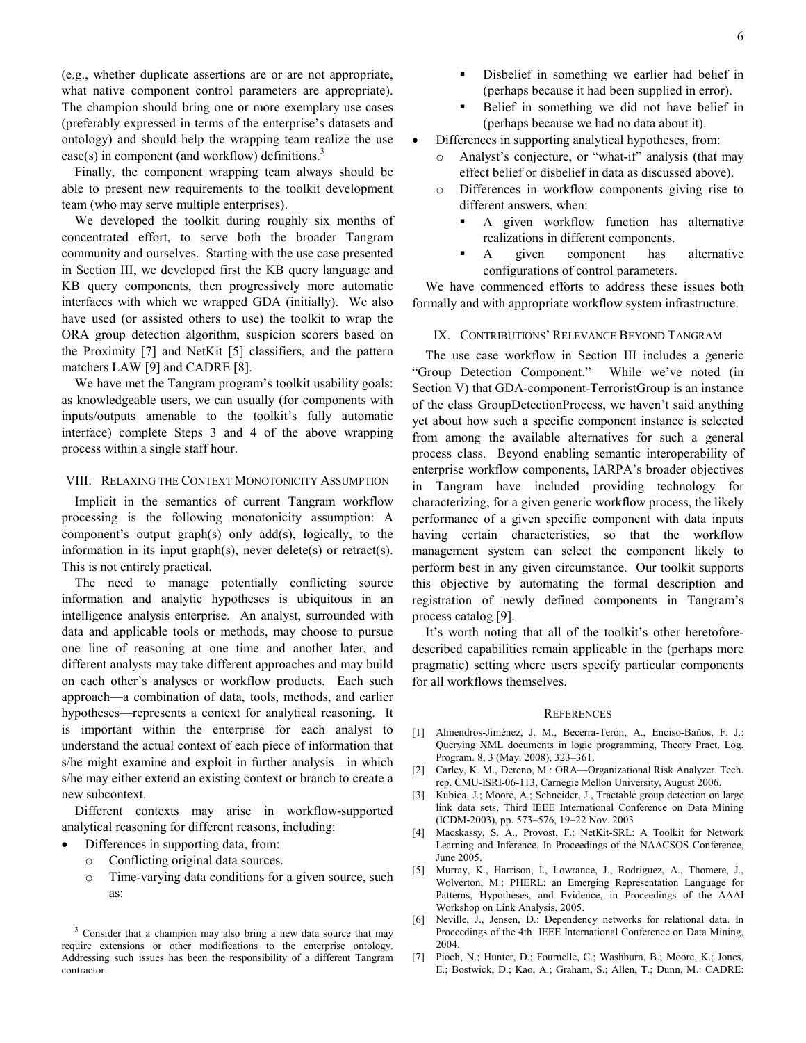(e.g., whether duplicate assertions are or are not appropriate, what native component control parameters are appropriate). The champion should bring one or more exemplary use cases (preferably expressed in terms of the enterprise's datasets and ontology) and should help the wrapping team realize the use  $case(s)$  in component (and workflow) definitions.<sup>3</sup>

Finally, the component wrapping team always should be able to present new requirements to the toolkit development team (who may serve multiple enterprises).

We developed the toolkit during roughly six months of concentrated effort, to serve both the broader Tangram community and ourselves. Starting with the use case presented in Section III, we developed first the KB query language and KB query components, then progressively more automatic interfaces with which we wrapped GDA (initially). We also have used (or assisted others to use) the toolkit to wrap the ORA group detection algorithm, suspicion scorers based on the Proximity [7] and NetKit [5] classifiers, and the pattern matchers LAW [9] and CADRE [8].

We have met the Tangram program's toolkit usability goals: as knowledgeable users, we can usually (for components with inputs/outputs amenable to the toolkit's fully automatic interface) complete Steps 3 and 4 of the above wrapping process within a single staff hour.

#### VIII. RELAXING THE CONTEXT MONOTONICITY ASSUMPTION

Implicit in the semantics of current Tangram workflow processing is the following monotonicity assumption: A component's output graph(s) only add(s), logically, to the information in its input graph(s), never delete(s) or retract(s). This is not entirely practical.

The need to manage potentially conflicting source information and analytic hypotheses is ubiquitous in an intelligence analysis enterprise. An analyst, surrounded with data and applicable tools or methods, may choose to pursue one line of reasoning at one time and another later, and different analysts may take different approaches and may build on each other's analyses or workflow products. Each such approach—a combination of data, tools, methods, and earlier hypotheses—represents a context for analytical reasoning. It is important within the enterprise for each analyst to understand the actual context of each piece of information that s/he might examine and exploit in further analysis—in which s/he may either extend an existing context or branch to create a new subcontext.

Different contexts may arise in workflow-supported analytical reasoning for different reasons, including:

- Differences in supporting data, from:
- Conflicting original data sources.
- o Time-varying data conditions for a given source, such as:
- Disbelief in something we earlier had belief in (perhaps because it had been supplied in error).
- Belief in something we did not have belief in (perhaps because we had no data about it).
- Differences in supporting analytical hypotheses, from:
	- o Analyst's conjecture, or "what-if" analysis (that may effect belief or disbelief in data as discussed above).
	- o Differences in workflow components giving rise to different answers, when:
		- A given workflow function has alternative realizations in different components.
		- A given component has alternative configurations of control parameters.

We have commenced efforts to address these issues both formally and with appropriate workflow system infrastructure.

#### IX. CONTRIBUTIONS' RELEVANCE BEYOND TANGRAM

The use case workflow in Section III includes a generic "Group Detection Component." While we've noted (in Section V) that GDA-component-TerroristGroup is an instance of the class GroupDetectionProcess, we haven't said anything yet about how such a specific component instance is selected from among the available alternatives for such a general process class. Beyond enabling semantic interoperability of enterprise workflow components, IARPA's broader objectives in Tangram have included providing technology for characterizing, for a given generic workflow process, the likely performance of a given specific component with data inputs having certain characteristics, so that the workflow management system can select the component likely to perform best in any given circumstance. Our toolkit supports this objective by automating the formal description and registration of newly defined components in Tangram's process catalog [9].

It's worth noting that all of the toolkit's other heretoforedescribed capabilities remain applicable in the (perhaps more pragmatic) setting where users specify particular components for all workflows themselves.

#### **REFERENCES**

- [1] Almendros-Jiménez, J. M., Becerra-Terón, A., Enciso-Baños, F. J.: Querying XML documents in logic programming, Theory Pract. Log. Program. 8, 3 (May. 2008), 323–361.
- [2] Carley, K. M., Dereno, M.: ORA—Organizational Risk Analyzer. Tech. rep. CMU-ISRI-06-113, Carnegie Mellon University, August 2006.
- [3] Kubica, J.; Moore, A.; Schneider, J., Tractable group detection on large link data sets, Third IEEE International Conference on Data Mining (ICDM-2003), pp. 573–576, 19–22 Nov. 2003
- [4] Macskassy, S. A., Provost, F.: NetKit-SRL: A Toolkit for Network Learning and Inference, In Proceedings of the NAACSOS Conference, June 2005.
- [5] Murray, K., Harrison, I., Lowrance, J., Rodriguez, A., Thomere, J., Wolverton, M.: PHERL: an Emerging Representation Language for Patterns, Hypotheses, and Evidence, in Proceedings of the AAAI Workshop on Link Analysis, 2005.
- [6] Neville, J., Jensen, D.: Dependency networks for relational data. In Proceedings of the 4th IEEE International Conference on Data Mining, 2004.
- [7] Pioch, N.; Hunter, D.; Fournelle, C.; Washburn, B.; Moore, K.; Jones, E.; Bostwick, D.; Kao, A.; Graham, S.; Allen, T.; Dunn, M.: CADRE:

<sup>&</sup>lt;sup>3</sup> Consider that a champion may also bring a new data source that may require extensions or other modifications to the enterprise ontology. Addressing such issues has been the responsibility of a different Tangram contractor.